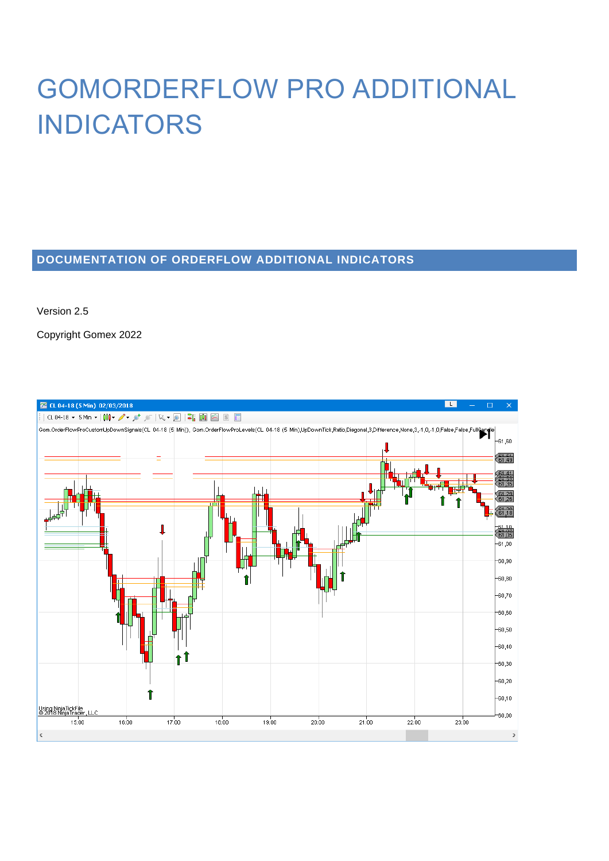# GOMORDERFLOW PRO ADDITIONAL INDICATORS

# **DOCUMENTATION OF ORDERFLOW ADDITIONAL INDICATORS**

Version 2.5

Copyright Gomex 2022

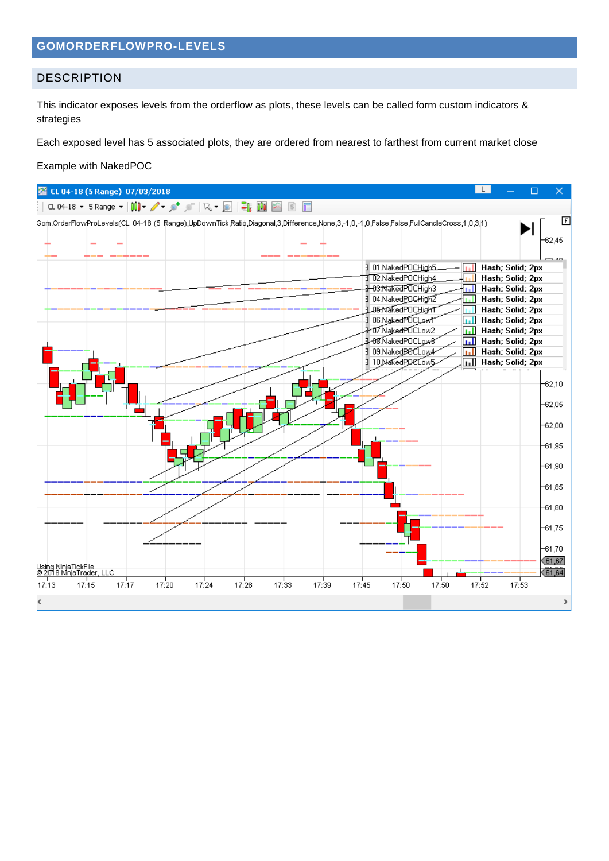# **GOMORDERFLOWPRO-LEVELS**

# DESCRIPTION

This indicator exposes levels from the orderflow as plots, these levels can be called form custom indicators & strategies

Each exposed level has 5 associated plots, they are ordered from nearest to farthest from current market close

#### Example with NakedPOC

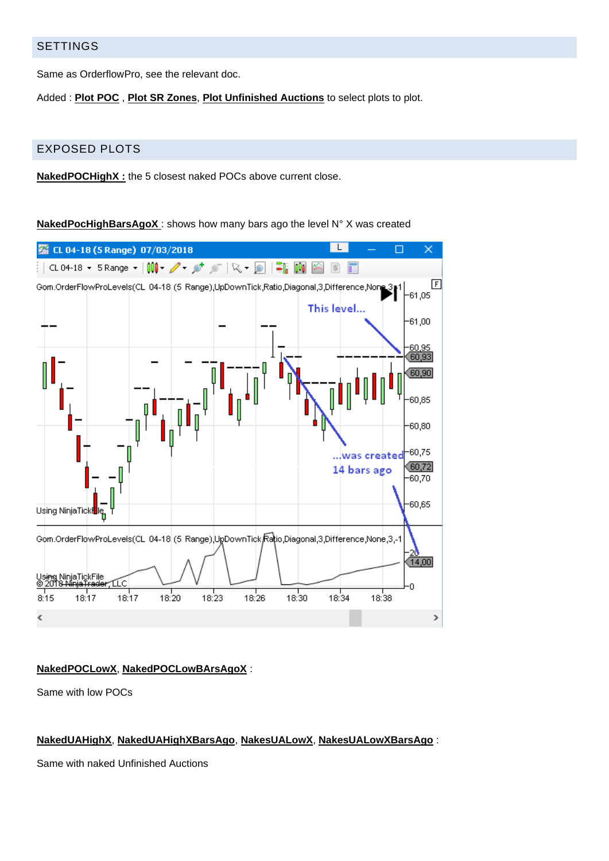# SETTINGS

Same as OrderflowPro, see the relevant doc.

Added : **Plot POC** , **Plot SR Zones**, **Plot Unfinished Auctions** to select plots to plot.

# EXPOSED PLOTS

**NakedPOCHighX :** the 5 closest naked POCs above current close.

**NakedPocHighBarsAgoX** : shows how many bars ago the level N° X was created



## **NakedPOCLowX**, **NakedPOCLowBArsAgoX** :

Same with low POCs

## **NakedUAHighX**, **NakedUAHighXBarsAgo**, **NakesUALowX**, **NakesUALowXBarsAgo** :

Same with naked Unfinished Auctions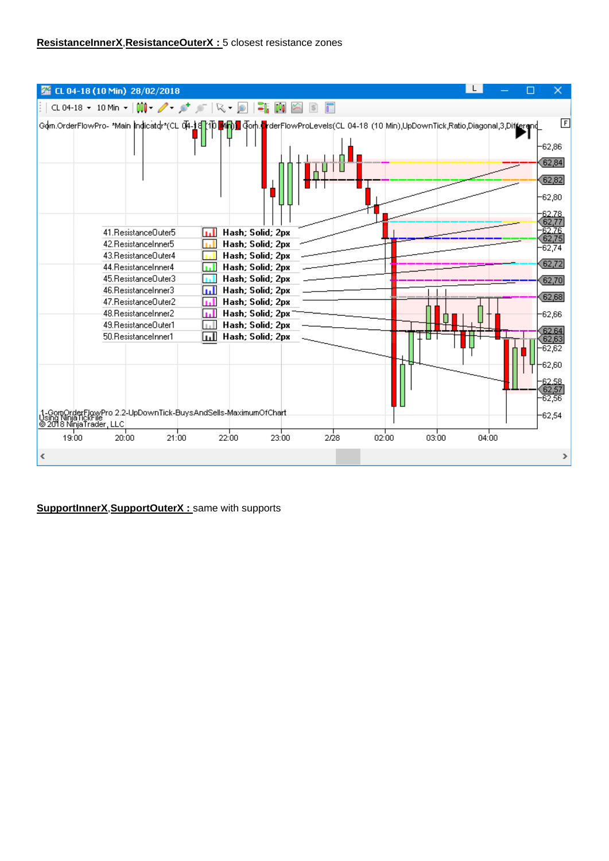# **ResistanceInnerX**,**ResistanceOuterX :** 5 closest resistance zones

| CL 04-18 (10 Min) 28/02/2018                                                                                                                                                                                                                                                                                                                                                                                                                                                                                                                                                                                                                                                                                                         |       |                                                                                                                                                                                                               |
|--------------------------------------------------------------------------------------------------------------------------------------------------------------------------------------------------------------------------------------------------------------------------------------------------------------------------------------------------------------------------------------------------------------------------------------------------------------------------------------------------------------------------------------------------------------------------------------------------------------------------------------------------------------------------------------------------------------------------------------|-------|---------------------------------------------------------------------------------------------------------------------------------------------------------------------------------------------------------------|
| CL04-18 ▼ 10 Min ▼   00   マーダ /   ペー回   = 1   画                                                                                                                                                                                                                                                                                                                                                                                                                                                                                                                                                                                                                                                                                      |       |                                                                                                                                                                                                               |
|                                                                                                                                                                                                                                                                                                                                                                                                                                                                                                                                                                                                                                                                                                                                      |       | 囸                                                                                                                                                                                                             |
| Gom.OrderFlowPro- *Main Indicatdr*(CLI 04-16 下手间) Gom.org/GreefFlowProLevels(CL 04-18 (10 Min),UpDownTick,Ratio,Diagonal,3,Differend<br>41. ResistanceDuter5<br>Hash; Solid; 2px<br>42. ResistanceInner5<br>Hash; Solid; 2px<br>43. Resistance Outer 4<br>Hash; Solid; 2px<br>Hash; Solid; 2px<br>44. ResistanceInner4<br>45. Resistance Outer 3<br>Hash; Solid; 2px<br>46. ResistanceInner3<br>Hash; Solid; 2px<br>47. Resistance Outer 2<br>Hash; Solid; 2px<br>48. ResistanceInner2<br>Hash; Solid; 2px<br>49. Resistance Outer1<br>Hash; Solid; 2px<br>50. ResistanceInner1<br>Hash; Solid; 2px<br>.1-GomOrderFlowPro 2.2-UpDownTick-BuysAndSells-MaximumOfChart<br>Using Ninja fickFile<br><mark>⊚ 2018 NinjaTrader, LLC</mark> |       | $-62,86$<br>62,84<br>(62, 82)<br>$-62,80$<br>$-62.78$<br>62.7<br>62.7E<br>62,75<br>$-62,74$<br>62,72<br>62,70<br>62,68<br>$-62,66$<br>62.64<br>62.63<br>$-62.62$<br>$-62,60$<br>62.SS<br>$-62.56$<br>$-62,54$ |
| 19:00<br>21:00<br>2/28<br>02:00<br>22:00<br>23:00<br>03:00<br>20:00                                                                                                                                                                                                                                                                                                                                                                                                                                                                                                                                                                                                                                                                  | 04:00 |                                                                                                                                                                                                               |
| ∢                                                                                                                                                                                                                                                                                                                                                                                                                                                                                                                                                                                                                                                                                                                                    |       |                                                                                                                                                                                                               |

**SupportInnerX**,**SupportOuterX :** same with supports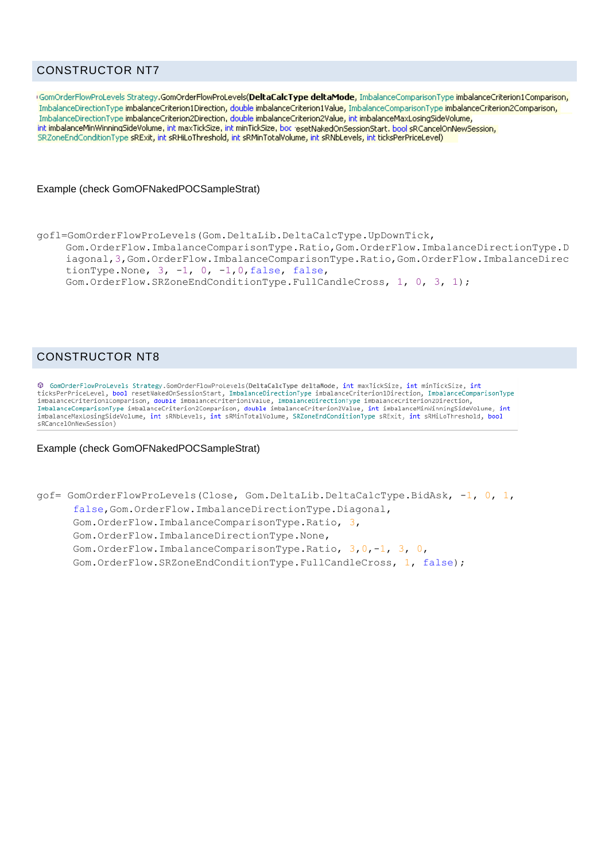# CONSTRUCTOR NT7

GomOrderFlowProLevels Strategy.GomOrderFlowProLevels(DeltaCalcType deltaMode, ImbalanceComparisonType imbalanceCriterion1Comparison, ImbalanceDirectionType imbalanceCriterion1Direction, double imbalanceCriterion1Value, ImbalanceComparisonType imbalanceCriterion2Comparison, ImbalanceDirectionType imbalanceCriterion2Direction, double imbalanceCriterion2Value, int imbalanceMaxLosingSideVolume, int imbalanceMinWinningSideVolume, int maxTickSize, int minTickSize, bod resetNakedOnSessionStart, bool sRCancelOnNewSession, SRZoneEndConditionType sRExit, int sRHiLoThreshold, int sRMinTotalVolume, int sRNbLevels, int ticksPerPriceLevel)

#### Example (check GomOFNakedPOCSampleStrat)

```
gofl=GomOrderFlowProLevels(Gom.DeltaLib.DeltaCalcType.UpDownTick, 
    Gom.OrderFlow.ImbalanceComparisonType.Ratio,Gom.OrderFlow.ImbalanceDirectionType.D
    iagonal,3,Gom.OrderFlow.ImbalanceComparisonType.Ratio,Gom.OrderFlow.ImbalanceDirec
    tionType.None, 3, -1, 0, -1, 0, false, false,
    Gom.OrderFlow.SRZoneEndConditionType.FullCandleCross, 1, 0, 3, 1);
```
# CONSTRUCTOR NT8

© GomOrderFlowProLevels Strategy.GomOrderFlowProLevels(DeltaCalcType deltaMode, int maxTickSize, int minTickSize, int ticksPerPriceLevel, bool resetNakedOnSessionStart, ImbalanceDirectionType imbalanceCriterion1Direction, ImbalanceComparisonType imbalanceCriterion1Comparison, double imbalanceCriterion1Value, ImbalanceDirectionType imbalanceCriterion2Direction, ImbalanceComparisonType imbalanceCriterion2Comparison, double imbalanceCriterion2Value, int imbalanceMinWinningSideVolume, int<br>ImbalanceComparisonType imbalanceCriterion2Comparison, double imbalanceCriterion2Value, int imb imbalanceMaxLosingSideVolume, int sRNbLevels, int sRMinTotalVolume, SRZoneEndConditionType sRExit, int sRHiLoThreshold, bool <RCancelOnNewSession)

#### Example (check GomOFNakedPOCSampleStrat)

```
gof= GomOrderFlowProLevels(Close, Gom.DeltaLib.DeltaCalcType.BidAsk, -1, 0, 1, 
      false,Gom.OrderFlow.ImbalanceDirectionType.Diagonal, 
      Gom.OrderFlow.ImbalanceComparisonType.Ratio, 3, 
      Gom.OrderFlow.ImbalanceDirectionType.None, 
      Gom.OrderFlow.ImbalanceComparisonType.Ratio, 3,0,-1, 3, 0, 
      Gom.OrderFlow.SRZoneEndConditionType.FullCandleCross, 1, false);
```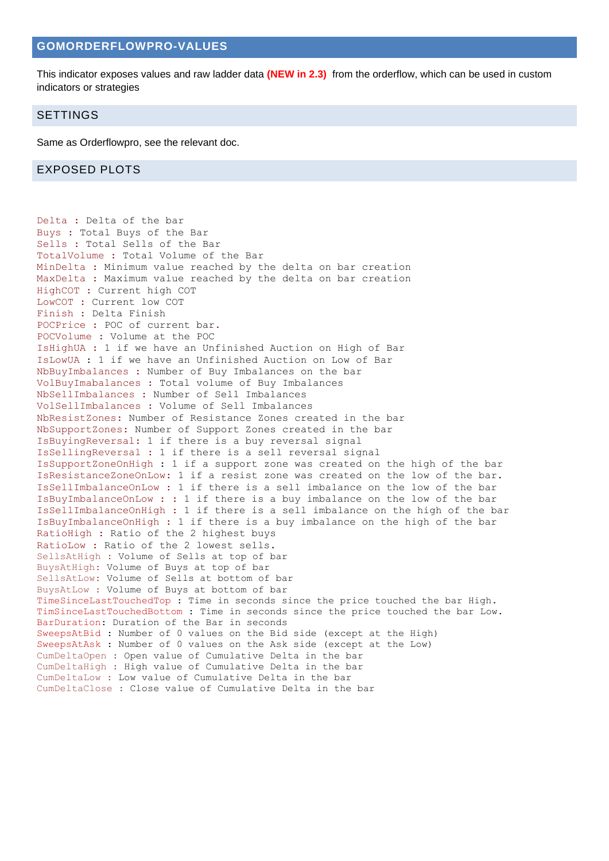# **GOMORDERFLOWPRO-VALUES**

This indicator exposes values and raw ladder data **(NEW in 2.3)** from the orderflow, which can be used in custom indicators or strategies

#### SETTINGS

Same as Orderflowpro, see the relevant doc.

#### EXPOSED PLOTS

Delta : Delta of the bar Buys : Total Buys of the Bar Sells : Total Sells of the Bar TotalVolume : Total Volume of the Bar MinDelta : Minimum value reached by the delta on bar creation MaxDelta : Maximum value reached by the delta on bar creation HighCOT : Current high COT LowCOT : Current low COT Finish : Delta Finish POCPrice : POC of current bar. POCVolume : Volume at the POC IsHighUA : 1 if we have an Unfinished Auction on High of Bar IsLowUA : 1 if we have an Unfinished Auction on Low of Bar NbBuyImbalances : Number of Buy Imbalances on the bar VolBuyImabalances : Total volume of Buy Imbalances NbSellImbalances : Number of Sell Imbalances VolSellImbalances : Volume of Sell Imbalances NbResistZones: Number of Resistance Zones created in the bar NbSupportZones: Number of Support Zones created in the bar IsBuyingReversal: 1 if there is a buy reversal signal IsSellingReversal : 1 if there is a sell reversal signal IsSupportZoneOnHigh : 1 if a support zone was created on the high of the bar IsResistanceZoneOnLow: 1 if a resist zone was created on the low of the bar. IsSellImbalanceOnLow : 1 if there is a sell imbalance on the low of the bar IsBuyImbalanceOnLow : : 1 if there is a buy imbalance on the low of the bar IsSellImbalanceOnHigh : 1 if there is a sell imbalance on the high of the bar IsBuyImbalanceOnHigh : 1 if there is a buy imbalance on the high of the bar RatioHigh : Ratio of the 2 highest buys RatioLow : Ratio of the 2 lowest sells. SellsAtHigh : Volume of Sells at top of bar BuysAtHigh: Volume of Buys at top of bar SellsAtLow: Volume of Sells at bottom of bar BuysAtLow : Volume of Buys at bottom of bar TimeSinceLastTouchedTop : Time in seconds since the price touched the bar High. TimSinceLastTouchedBottom : Time in seconds since the price touched the bar Low. BarDuration: Duration of the Bar in seconds SweepsAtBid : Number of 0 values on the Bid side (except at the High) SweepsAtAsk : Number of 0 values on the Ask side (except at the Low) CumDeltaOpen : Open value of Cumulative Delta in the bar CumDeltaHigh : High value of Cumulative Delta in the bar CumDeltaLow : Low value of Cumulative Delta in the bar CumDeltaClose : Close value of Cumulative Delta in the bar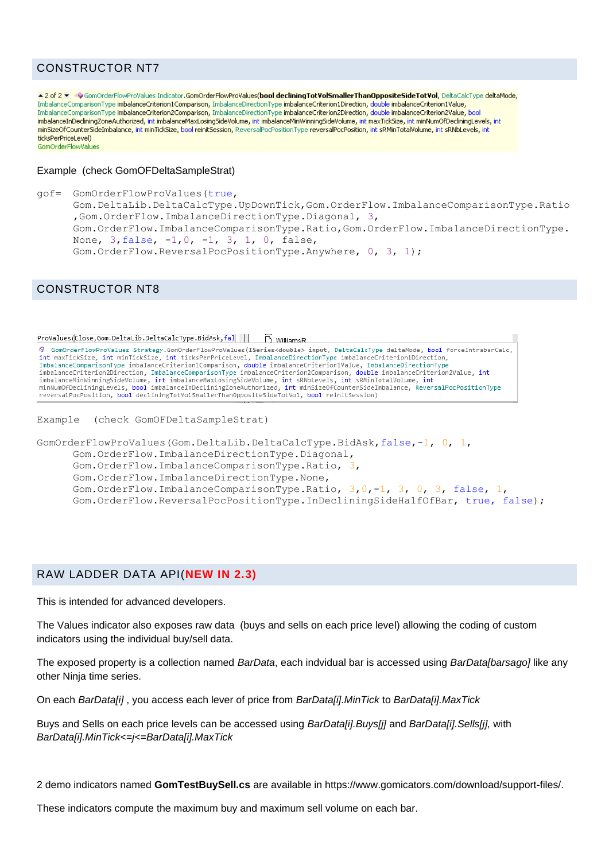# CONSTRUCTOR NT7

▲ 2 of 2 ▼ = GomOrderFlowProValues Indicator.GomOrderFlowProValues(bool decliningTotVolSmallerThanOppositeSideTotVol, DeltaCalcType deltaMode, ImbalanceComparisonType imbalanceCriterion1Comparison, ImbalanceDirectionType imbalanceCriterion1Direction, double imbalanceCriterion1Value, ImbalanceComparisonType imbalanceCriterion2Comparison, ImbalanceDirectionType imbalanceCriterion2Direction, double imbalanceCriterion2Value, bool imbalancetompanson ypo imbalancetnometompanson, imbalancebnoccom ypo imbalancetnometriccion, dodbie imbalancetnometrado, boor imbalancetnometrado, boor imbalancetnometrado, boor imbalancetnometrado, boor imbalancetnometrad minSizeOfCounterSideImbalance, int minTickSize, bool reinitSession, ReversalPocPositionType reversalPocPosition, int sRMinTotalVolume, int sRNbLevels, int ticksPerPriceLevel) GomOrderFlowValues

#### Example (check GomOFDeltaSampleStrat)

```
gof= GomOrderFlowProValues(true, 
      Gom.DeltaLib.DeltaCalcType.UpDownTick,Gom.OrderFlow.ImbalanceComparisonType.Ratio
      ,Gom.OrderFlow.ImbalanceDirectionType.Diagonal, 3, 
      Gom.OrderFlow.ImbalanceComparisonType.Ratio,Gom.OrderFlow.ImbalanceDirectionType.
      None, 3, false, -1, 0, -1, 3, 1, 0, false,
      Gom.OrderFlow.ReversalPocPositionType.Anywhere, 0, 3, 1);
```
# CONSTRUCTOR NT8

```
ProValues(Close,Gom.DeltaLib.DeltaCalcType.BidAsk,fal | | | | | | WilliamsR
© GomOrderFlowProValues Strategy.GomOrderFlowProValues(ISeries<double> input, DeltaCalcType deltaMode, bool forceIntrabarCalc,
where we way to the interest of the state of the interest of the interest of the interest of the contributions of the maximizing interest interest interest of the interest of the interest of the interest of the interest of
reversalPocPosition, bool decliningTotVolSmallerThanOppositeSideTotVol, bool reinitSession)
Example (check GomOFDeltaSampleStrat)
```

```
GomOrderFlowProValues(Gom.DeltaLib.DeltaCalcType.BidAsk,false,-1, 0, 1,
      Gom.OrderFlow.ImbalanceDirectionType.Diagonal, 
      Gom.OrderFlow.ImbalanceComparisonType.Ratio, 3, 
      Gom.OrderFlow.ImbalanceDirectionType.None, 
      Gom.OrderFlow.ImbalanceComparisonType.Ratio, 3,0,-1, 3, 0, 3, false, 1, 
      Gom.OrderFlow.ReversalPocPositionType.InDecliningSideHalfOfBar, true, false);
```
## RAW LADDER DATA API(**NEW IN 2.3)**

This is intended for advanced developers.

The Values indicator also exposes raw data (buys and sells on each price level) allowing the coding of custom indicators using the individual buy/sell data.

The exposed property is a collection named *BarData*, each indvidual bar is accessed using *BarData[barsago]* like any other Ninja time series.

On each *BarData[i]* , you access each lever of price from *BarData[i].MinTick* to *BarData[i].MaxTick*

Buys and Sells on each price levels can be accessed using *BarData[i].Buys[j]* and *BarData[i].Sells[j],* with *BarData[i].MinTick<=j<=BarData[i].MaxTick*

2 demo indicators named **GomTestBuySell.cs** are available in https://www.gomicators.com/download/support-files/.

These indicators compute the maximum buy and maximum sell volume on each bar.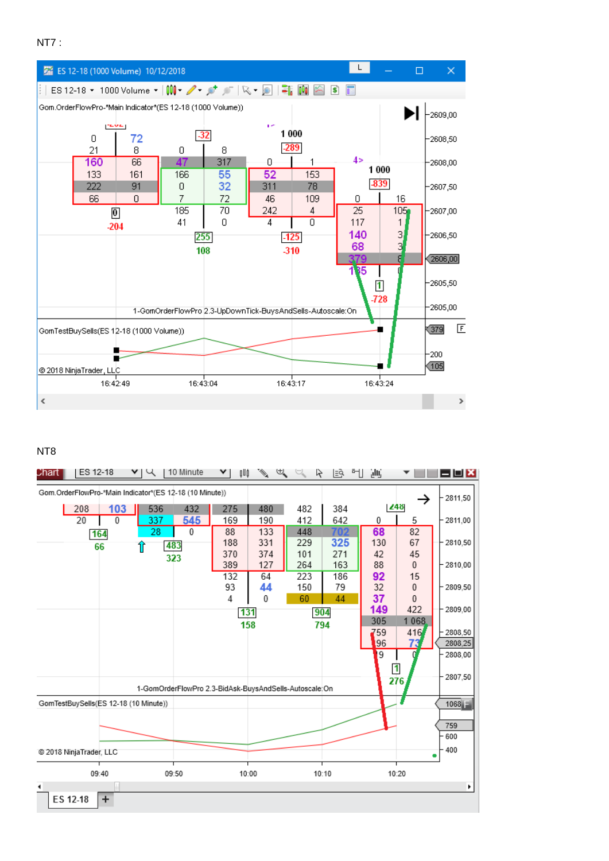```
NT7:
```


## NT<sub>8</sub>

| ES 12-18<br>Chart                                                     | 10 Minute<br>प्प                                       | び<br>φUφ   | e de la concerta de la concerta de la concerta de la concerta de la concerta de la concerta de la concerta de<br>La concerta de la concerta de la concerta de la concerta de la concerta de la concerta de la concerta de la co | $\mathbb{R}$ $\cong$<br>R | ∥≣વે<br>케 | ۇلل            |              | <b>EEX</b>    |
|-----------------------------------------------------------------------|--------------------------------------------------------|------------|---------------------------------------------------------------------------------------------------------------------------------------------------------------------------------------------------------------------------------|---------------------------|-----------|----------------|--------------|---------------|
| Gom.OrderFlowPro-*Main Indicator*(ES 12-18 (10 Minute))<br>$-2811,50$ |                                                        |            |                                                                                                                                                                                                                                 |                           |           |                |              |               |
| 208<br>103                                                            | 536<br>432                                             | 275        | 480                                                                                                                                                                                                                             | 482                       | 384       | <b>Z48</b>     |              |               |
| 20<br>$\mathbf{0}$                                                    | 545<br>337                                             | 169        | 190                                                                                                                                                                                                                             | 412                       | 642       | $\theta$       | 5            | $-2811,00$    |
| 164                                                                   | 28<br>0                                                | 88         | 133                                                                                                                                                                                                                             | 448                       | 702       | 68             | 82           |               |
| 66                                                                    | 483<br>î                                               | 188        | 331                                                                                                                                                                                                                             | 229                       | 325       | 130            | 67           | $-2810.50$    |
|                                                                       | 323                                                    | 370        | 374                                                                                                                                                                                                                             | 101                       | 271       | 42             | 45           |               |
|                                                                       |                                                        | 389<br>132 | 127<br>64                                                                                                                                                                                                                       | 264                       | 163       | 88             | $\mathbf{0}$ | $-2810,00$    |
|                                                                       |                                                        | 93         | 44                                                                                                                                                                                                                              | 223<br>150                | 186<br>79 | 92<br>32       | 15<br>0      | 2809,50       |
|                                                                       |                                                        | 4          | 0                                                                                                                                                                                                                               | 60                        | 44        | 37             | $\mathbf{0}$ |               |
|                                                                       |                                                        | 131        |                                                                                                                                                                                                                                 |                           |           | 149            | 422          | $-2809.00$    |
|                                                                       |                                                        | 158        |                                                                                                                                                                                                                                 | 904<br>794                |           | 305            | 1068         |               |
|                                                                       |                                                        |            |                                                                                                                                                                                                                                 |                           |           | 759            | 416          | 2808,50       |
|                                                                       |                                                        |            |                                                                                                                                                                                                                                 |                           |           | 96             | 73           | 2808,25       |
|                                                                       |                                                        |            |                                                                                                                                                                                                                                 |                           |           | $\overline{9}$ |              | 2808.00       |
|                                                                       |                                                        |            |                                                                                                                                                                                                                                 |                           |           | $\mathbf{1}$   |              |               |
|                                                                       |                                                        |            |                                                                                                                                                                                                                                 |                           |           |                | 276          | $-2807,50$    |
|                                                                       | 1-GomOrderFlowPro 2.3-BidAsk-BuysAndSells-Autoscale:On |            |                                                                                                                                                                                                                                 |                           |           |                |              |               |
| GomTestBuySells(ES 12-18 (10 Minute))                                 |                                                        |            |                                                                                                                                                                                                                                 |                           |           |                |              | $1068 -$      |
|                                                                       |                                                        |            |                                                                                                                                                                                                                                 |                           |           |                |              |               |
|                                                                       |                                                        |            |                                                                                                                                                                                                                                 |                           |           |                |              | 759<br>$-600$ |
|                                                                       |                                                        |            |                                                                                                                                                                                                                                 |                           |           |                |              |               |
| @ 2018 NinjaTrader, LLC                                               |                                                        |            |                                                                                                                                                                                                                                 |                           |           |                |              | $-400$<br>٠   |
| 09:40                                                                 | 09:50                                                  | 10:00      |                                                                                                                                                                                                                                 | 10:10                     |           |                | 10:20        |               |
| ٠<br>٠                                                                |                                                        |            |                                                                                                                                                                                                                                 |                           |           |                |              |               |
| ES 12-18<br>$\overline{+}$                                            |                                                        |            |                                                                                                                                                                                                                                 |                           |           |                |              |               |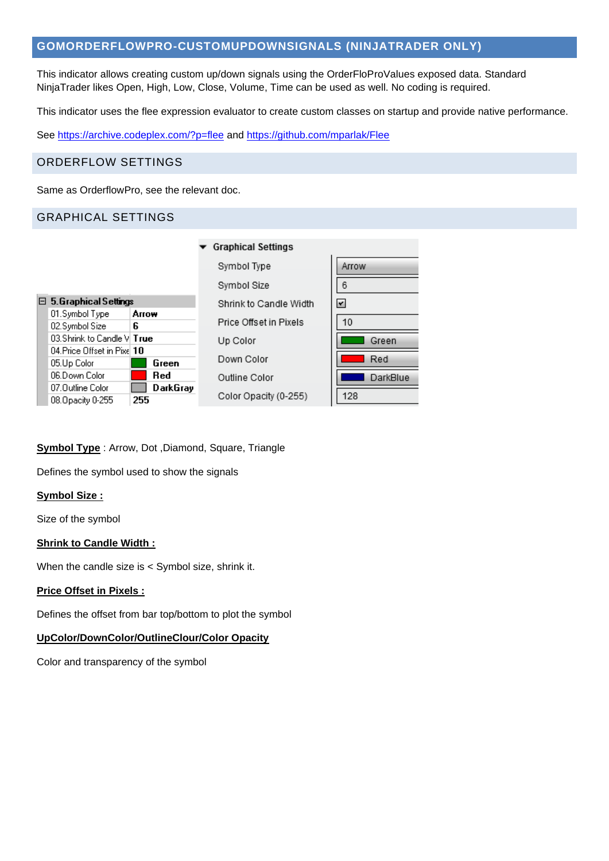# **GOMORDERFLOWPRO-CUSTOMUPDOWNSIGNALS (NINJATRADER ONLY)**

This indicator allows creating custom up/down signals using the OrderFloProValues exposed data. Standard NinjaTrader likes Open, High, Low, Close, Volume, Time can be used as well. No coding is required.

This indicator uses the flee expression evaluator to create custom classes on startup and provide native performance.

See<https://archive.codeplex.com/?p=flee> and<https://github.com/mparlak/Flee>

# ORDERFLOW SETTINGS

Same as OrderflowPro, see the relevant doc.

# GRAPHICAL SETTINGS

|  |                                   |       |          | <b>Graphical Settings</b> |  |  |  |
|--|-----------------------------------|-------|----------|---------------------------|--|--|--|
|  |                                   |       |          | Symbol Type               |  |  |  |
|  |                                   |       |          | Symbol Size               |  |  |  |
|  | $\boxminus$ 5. Graphical Settings |       |          | Shrink to Candle Width    |  |  |  |
|  | 01.Symbol Type                    | Arrow |          |                           |  |  |  |
|  | 02.Symbol Size                    | ĥ     |          | Price Offset in Pixels    |  |  |  |
|  | 03.Shrink to Candle VI $\sf True$ |       |          | Up Color                  |  |  |  |
|  | 04 Price Offset in Pixel 10       |       |          |                           |  |  |  |
|  | 05.Up Color                       |       | Green    | Down Color                |  |  |  |
|  | 06.Down Color                     |       | Red      | Outline Color             |  |  |  |
|  | 07.Outline Color                  |       | DarkGray |                           |  |  |  |
|  | 08. Opacity 0-255                 | 255   |          | Color Opacity (0-255)     |  |  |  |
|  |                                   |       |          |                           |  |  |  |

| Arrow                   |
|-------------------------|
| 6                       |
| $\overline{\mathbf{r}}$ |
| 10                      |
| Green                   |
| Red                     |
| DarkBlue                |
| 128                     |
|                         |

## **Symbol Type** : Arrow, Dot ,Diamond, Square, Triangle

Defines the symbol used to show the signals

## **Symbol Size :**

Size of the symbol

## **Shrink to Candle Width :**

When the candle size is < Symbol size, shrink it.

## **Price Offset in Pixels :**

Defines the offset from bar top/bottom to plot the symbol

#### **UpColor/DownColor/OutlineClour/Color Opacity**

Color and transparency of the symbol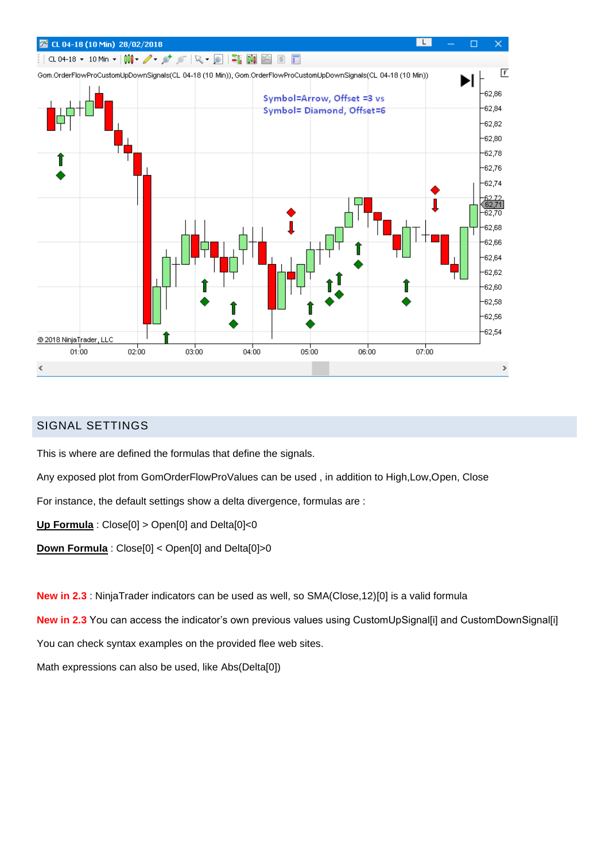

# SIGNAL SETTINGS

This is where are defined the formulas that define the signals.

Any exposed plot from GomOrderFlowProValues can be used , in addition to High,Low,Open, Close

For instance, the default settings show a delta divergence, formulas are :

**Up Formula** : Close[0] > Open[0] and Delta[0]<0

**Down Formula** : Close[0] < Open[0] and Delta[0]>0

**New in 2.3** : NinjaTrader indicators can be used as well, so SMA(Close,12)[0] is a valid formula

**New in 2.3** You can access the indicator's own previous values using CustomUpSignal[i] and CustomDownSignal[i]

You can check syntax examples on the provided flee web sites.

Math expressions can also be used, like Abs(Delta[0])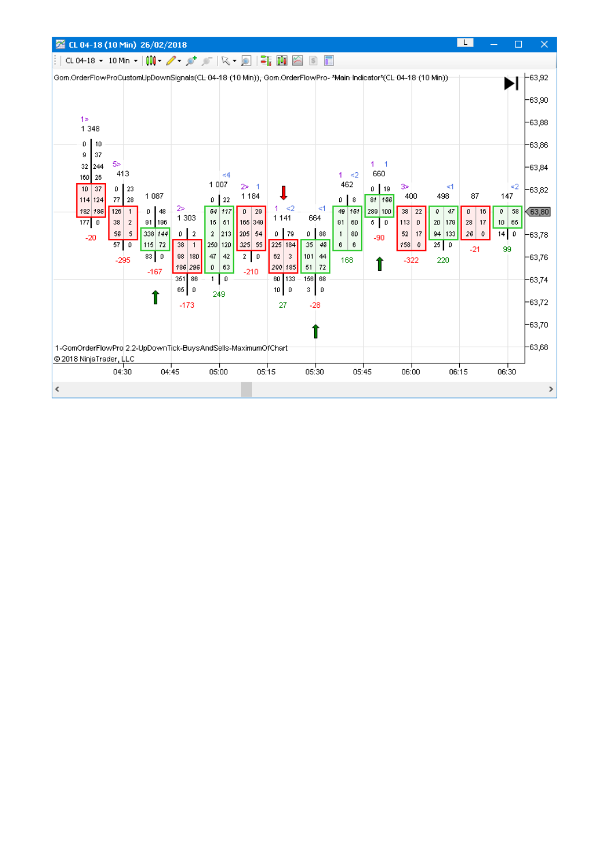